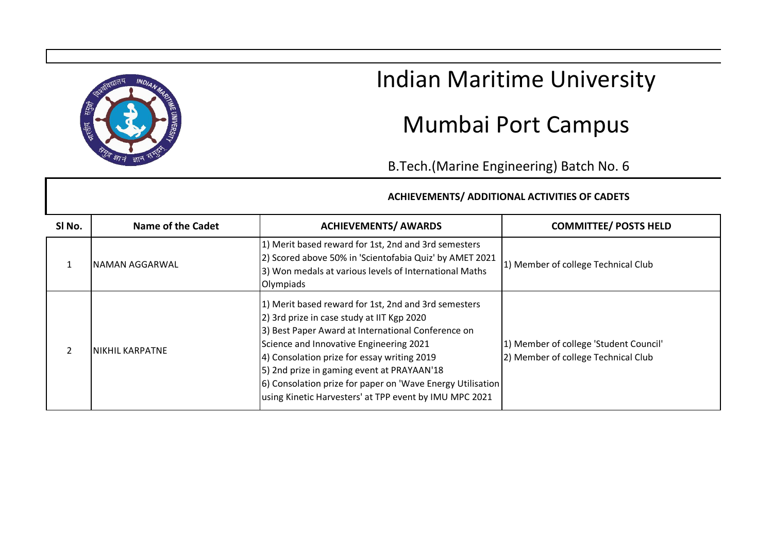

## Indian Maritime University

## Mumbai Port Campus

B.Tech.(Marine Engineering) Batch No. 6

## **ACHIEVEMENTS/ ADDITIONAL ACTIVITIES OF CADETS**

| SI No. | Name of the Cadet | <b>ACHIEVEMENTS/ AWARDS</b>                                                                                                                                                                                                                                                                                                                                                                                              | <b>COMMITTEE/ POSTS HELD</b>                                                  |
|--------|-------------------|--------------------------------------------------------------------------------------------------------------------------------------------------------------------------------------------------------------------------------------------------------------------------------------------------------------------------------------------------------------------------------------------------------------------------|-------------------------------------------------------------------------------|
|        | NAMAN AGGARWAL    | 1) Merit based reward for 1st, 2nd and 3rd semesters<br>2) Scored above 50% in 'Scientofabia Quiz' by AMET 2021<br>3) Won medals at various levels of International Maths<br>Olympiads                                                                                                                                                                                                                                   | 1) Member of college Technical Club                                           |
|        | INIKHIL KARPATNE  | 1) Merit based reward for 1st, 2nd and 3rd semesters<br>2) 3rd prize in case study at IIT Kgp 2020<br>3) Best Paper Award at International Conference on<br>Science and Innovative Engineering 2021<br>4) Consolation prize for essay writing 2019<br>5) 2nd prize in gaming event at PRAYAAN'18<br>6) Consolation prize for paper on 'Wave Energy Utilisation<br>using Kinetic Harvesters' at TPP event by IMU MPC 2021 | 1) Member of college 'Student Council'<br>2) Member of college Technical Club |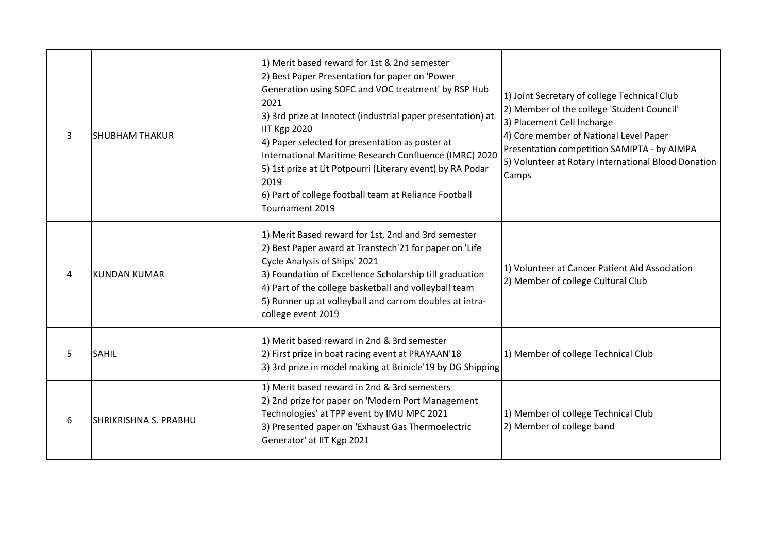| 3 | <b>SHUBHAM THAKUR</b>        | 1) Merit based reward for 1st & 2nd semester<br>2) Best Paper Presentation for paper on 'Power<br>Generation using SOFC and VOC treatment' by RSP Hub<br>2021<br>3) 3rd prize at Innotect (industrial paper presentation) at<br><b>IIT Kgp 2020</b><br>4) Paper selected for presentation as poster at<br>International Maritime Research Confluence (IMRC) 2020<br>5) 1st prize at Lit Potpourri (Literary event) by RA Podar<br>2019<br>6) Part of college football team at Reliance Football<br>Tournament 2019 | 1) Joint Secretary of college Technical Club<br>2) Member of the college 'Student Council'<br>3) Placement Cell Incharge<br>4) Core member of National Level Paper<br>Presentation competition SAMIPTA - by AIMPA<br>5) Volunteer at Rotary International Blood Donation<br>Camps |  |
|---|------------------------------|--------------------------------------------------------------------------------------------------------------------------------------------------------------------------------------------------------------------------------------------------------------------------------------------------------------------------------------------------------------------------------------------------------------------------------------------------------------------------------------------------------------------|-----------------------------------------------------------------------------------------------------------------------------------------------------------------------------------------------------------------------------------------------------------------------------------|--|
| 4 | <b>KUNDAN KUMAR</b>          | 1) Merit Based reward for 1st, 2nd and 3rd semester<br>2) Best Paper award at Transtech'21 for paper on 'Life<br>Cycle Analysis of Ships' 2021<br>3) Foundation of Excellence Scholarship till graduation<br>4) Part of the college basketball and volleyball team<br>5) Runner up at volleyball and carrom doubles at intra-<br>college event 2019                                                                                                                                                                | 1) Volunteer at Cancer Patient Aid Association<br>2) Member of college Cultural Club                                                                                                                                                                                              |  |
| 5 | <b>SAHIL</b>                 | 1) Merit based reward in 2nd & 3rd semester<br>2) First prize in boat racing event at PRAYAAN'18<br>3) 3rd prize in model making at Brinicle'19 by DG Shipping                                                                                                                                                                                                                                                                                                                                                     | 1) Member of college Technical Club                                                                                                                                                                                                                                               |  |
| 6 | <b>SHRIKRISHNA S. PRABHU</b> | 1) Merit based reward in 2nd & 3rd semesters<br>2) 2nd prize for paper on 'Modern Port Management<br>Technologies' at TPP event by IMU MPC 2021<br>3) Presented paper on 'Exhaust Gas Thermoelectric<br>Generator' at IIT Kgp 2021                                                                                                                                                                                                                                                                                 | 1) Member of college Technical Club<br>2) Member of college band                                                                                                                                                                                                                  |  |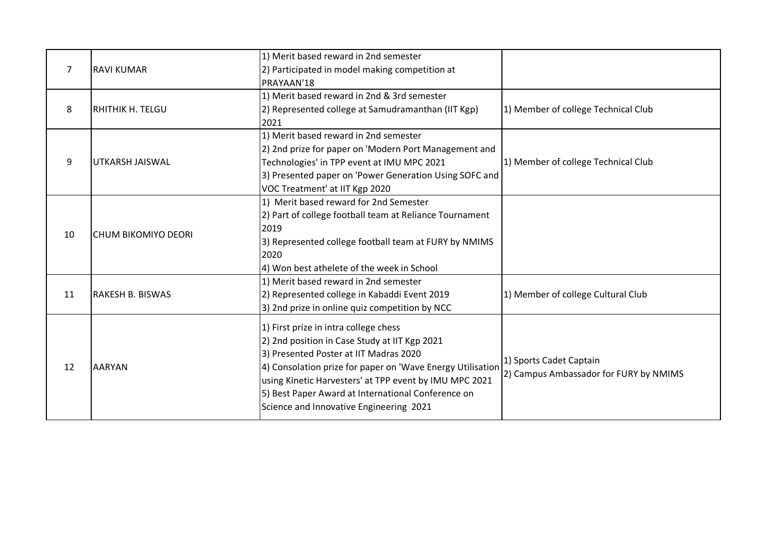| $\overline{7}$ | <b>RAVI KUMAR</b>          | 1) Merit based reward in 2nd semester<br>2) Participated in model making competition at<br>PRAYAAN'18                                                                                                                                                                                                                                                     |                                                                   |
|----------------|----------------------------|-----------------------------------------------------------------------------------------------------------------------------------------------------------------------------------------------------------------------------------------------------------------------------------------------------------------------------------------------------------|-------------------------------------------------------------------|
| 8              | <b>RHITHIK H. TELGU</b>    | 1) Merit based reward in 2nd & 3rd semester<br>2) Represented college at Samudramanthan (IIT Kgp)<br>2021                                                                                                                                                                                                                                                 | 1) Member of college Technical Club                               |
| 9              | UTKARSH JAISWAL            | 1) Merit based reward in 2nd semester<br>2) 2nd prize for paper on 'Modern Port Management and<br>Technologies' in TPP event at IMU MPC 2021<br>3) Presented paper on 'Power Generation Using SOFC and<br>VOC Treatment' at IIT Kgp 2020                                                                                                                  | 1) Member of college Technical Club                               |
| 10             | <b>CHUM BIKOMIYO DEORI</b> | 1) Merit based reward for 2nd Semester<br>2) Part of college football team at Reliance Tournament<br>2019<br>3) Represented college football team at FURY by NMIMS<br>2020<br>4) Won best athelete of the week in School                                                                                                                                  |                                                                   |
| 11             | <b>RAKESH B. BISWAS</b>    | 1) Merit based reward in 2nd semester<br>2) Represented college in Kabaddi Event 2019<br>3) 2nd prize in online quiz competition by NCC                                                                                                                                                                                                                   | 1) Member of college Cultural Club                                |
| 12             | <b>AARYAN</b>              | 1) First prize in intra college chess<br>2) 2nd position in Case Study at IIT Kgp 2021<br>3) Presented Poster at IIT Madras 2020<br>4) Consolation prize for paper on 'Wave Energy Utilisation<br>using Kinetic Harvesters' at TPP event by IMU MPC 2021<br>5) Best Paper Award at International Conference on<br>Science and Innovative Engineering 2021 | 1) Sports Cadet Captain<br>2) Campus Ambassador for FURY by NMIMS |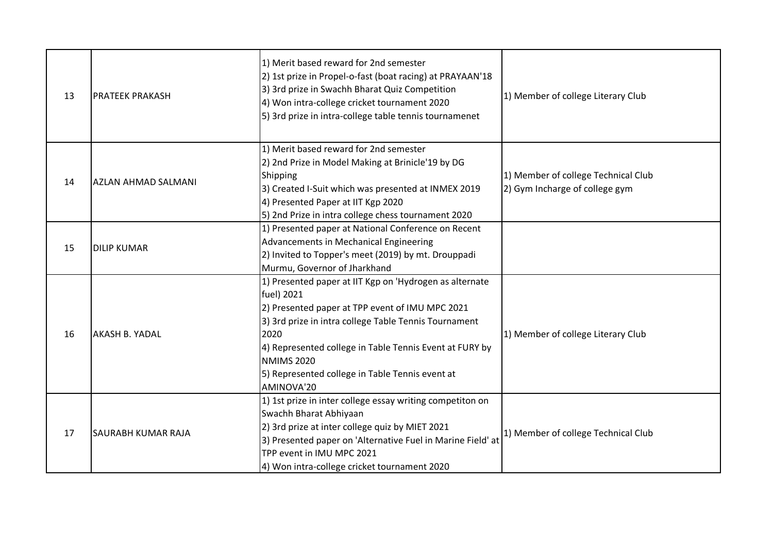| 13 | PRATEEK PRAKASH            | 1) Merit based reward for 2nd semester<br>2) 1st prize in Propel-o-fast (boat racing) at PRAYAAN'18<br>3) 3rd prize in Swachh Bharat Quiz Competition<br>4) Won intra-college cricket tournament 2020<br>5) 3rd prize in intra-college table tennis tournamenet                                                                            | 1) Member of college Literary Club                                    |
|----|----------------------------|--------------------------------------------------------------------------------------------------------------------------------------------------------------------------------------------------------------------------------------------------------------------------------------------------------------------------------------------|-----------------------------------------------------------------------|
| 14 | <b>AZLAN AHMAD SALMANI</b> | 1) Merit based reward for 2nd semester<br>2) 2nd Prize in Model Making at Brinicle'19 by DG<br>Shipping<br>3) Created I-Suit which was presented at INMEX 2019<br>4) Presented Paper at IIT Kgp 2020<br>5) 2nd Prize in intra college chess tournament 2020                                                                                | 1) Member of college Technical Club<br>2) Gym Incharge of college gym |
| 15 | <b>DILIP KUMAR</b>         | 1) Presented paper at National Conference on Recent<br>Advancements in Mechanical Engineering<br>2) Invited to Topper's meet (2019) by mt. Drouppadi<br>Murmu, Governor of Jharkhand                                                                                                                                                       |                                                                       |
| 16 | AKASH B. YADAL             | 1) Presented paper at IIT Kgp on 'Hydrogen as alternate<br>fuel) 2021<br>2) Presented paper at TPP event of IMU MPC 2021<br>3) 3rd prize in intra college Table Tennis Tournament<br>2020<br>4) Represented college in Table Tennis Event at FURY by<br><b>NMIMS 2020</b><br>5) Represented college in Table Tennis event at<br>AMINOVA'20 | 1) Member of college Literary Club                                    |
| 17 | SAURABH KUMAR RAJA         | 1) 1st prize in inter college essay writing competiton on<br>Swachh Bharat Abhiyaan<br>2) 3rd prize at inter college quiz by MIET 2021<br>3) Presented paper on 'Alternative Fuel in Marine Field' at<br>TPP event in IMU MPC 2021<br>4) Won intra-college cricket tournament 2020                                                         | 1) Member of college Technical Club                                   |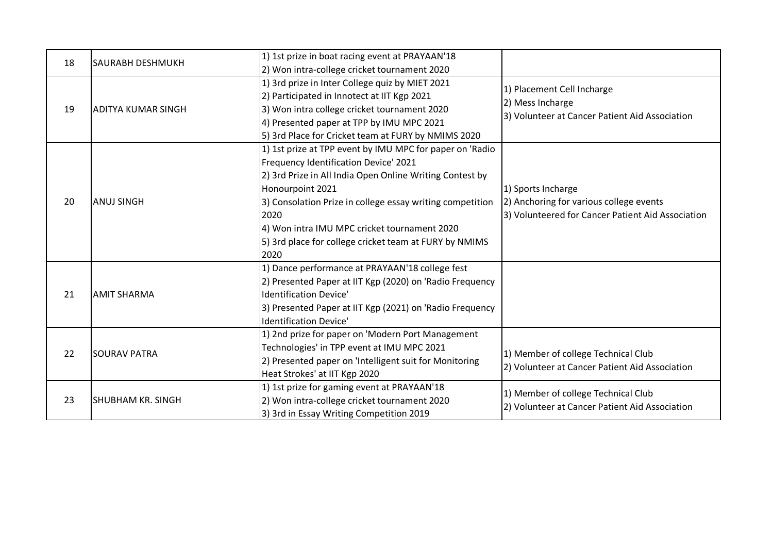| 18 | SAURABH DESHMUKH          | 1) 1st prize in boat racing event at PRAYAAN'18           |                                                                                       |
|----|---------------------------|-----------------------------------------------------------|---------------------------------------------------------------------------------------|
|    |                           | 2) Won intra-college cricket tournament 2020              |                                                                                       |
|    |                           | 1) 3rd prize in Inter College quiz by MIET 2021           | 1) Placement Cell Incharge                                                            |
|    |                           | 2) Participated in Innotect at IIT Kgp 2021               | 2) Mess Incharge                                                                      |
| 19 | <b>ADITYA KUMAR SINGH</b> | 3) Won intra college cricket tournament 2020              | 3) Volunteer at Cancer Patient Aid Association                                        |
|    |                           | 4) Presented paper at TPP by IMU MPC 2021                 |                                                                                       |
|    |                           | 5) 3rd Place for Cricket team at FURY by NMIMS 2020       |                                                                                       |
|    |                           | 1) 1st prize at TPP event by IMU MPC for paper on 'Radio  |                                                                                       |
|    |                           | Frequency Identification Device' 2021                     |                                                                                       |
|    |                           | 2) 3rd Prize in All India Open Online Writing Contest by  |                                                                                       |
|    |                           | Honourpoint 2021                                          | 1) Sports Incharge                                                                    |
| 20 | <b>ANUJ SINGH</b>         | 3) Consolation Prize in college essay writing competition | 2) Anchoring for various college events                                               |
|    |                           | 2020                                                      | 3) Volunteered for Cancer Patient Aid Association                                     |
|    |                           | 4) Won intra IMU MPC cricket tournament 2020              |                                                                                       |
|    |                           | 5) 3rd place for college cricket team at FURY by NMIMS    |                                                                                       |
|    |                           | 2020                                                      |                                                                                       |
|    |                           | 1) Dance performance at PRAYAAN'18 college fest           |                                                                                       |
|    |                           | 2) Presented Paper at IIT Kgp (2020) on 'Radio Frequency  |                                                                                       |
| 21 | <b>AMIT SHARMA</b>        | <b>Identification Device'</b>                             |                                                                                       |
|    |                           | 3) Presented Paper at IIT Kgp (2021) on 'Radio Frequency  |                                                                                       |
|    |                           | Identification Device'                                    |                                                                                       |
|    |                           | 1) 2nd prize for paper on 'Modern Port Management         |                                                                                       |
| 22 | <b>SOURAV PATRA</b>       | Technologies' in TPP event at IMU MPC 2021                | 1) Member of college Technical Club<br>2) Volunteer at Cancer Patient Aid Association |
|    |                           | 2) Presented paper on 'Intelligent suit for Monitoring    |                                                                                       |
|    |                           | Heat Strokes' at IIT Kgp 2020                             |                                                                                       |
|    |                           | 1) 1st prize for gaming event at PRAYAAN'18               | 1) Member of college Technical Club                                                   |
| 23 | <b>SHUBHAM KR. SINGH</b>  | 2) Won intra-college cricket tournament 2020              | 2) Volunteer at Cancer Patient Aid Association                                        |
|    |                           | 3) 3rd in Essay Writing Competition 2019                  |                                                                                       |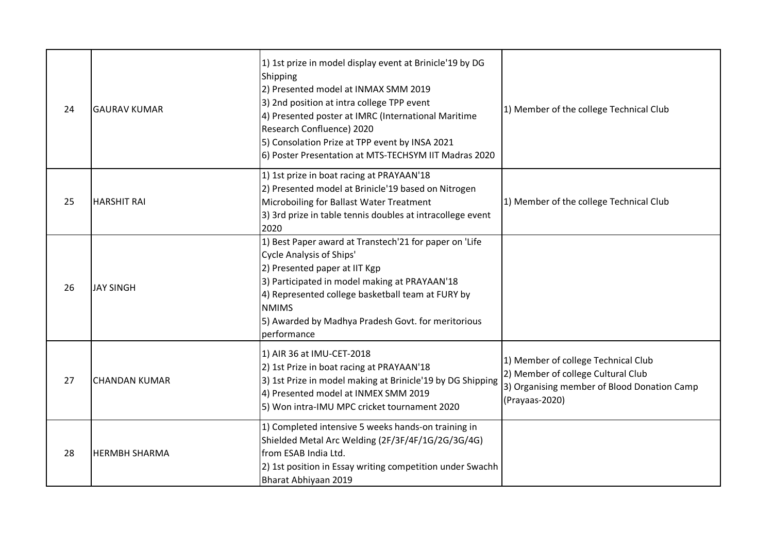| 24 | <b>GAURAV KUMAR</b>  | 1) 1st prize in model display event at Brinicle'19 by DG<br>Shipping<br>2) Presented model at INMAX SMM 2019<br>3) 2nd position at intra college TPP event<br>4) Presented poster at IMRC (International Maritime<br>Research Confluence) 2020<br>5) Consolation Prize at TPP event by INSA 2021<br>6) Poster Presentation at MTS-TECHSYM IIT Madras 2020 | 1) Member of the college Technical Club                                                                                                    |
|----|----------------------|-----------------------------------------------------------------------------------------------------------------------------------------------------------------------------------------------------------------------------------------------------------------------------------------------------------------------------------------------------------|--------------------------------------------------------------------------------------------------------------------------------------------|
| 25 | <b>HARSHIT RAI</b>   | 1) 1st prize in boat racing at PRAYAAN'18<br>2) Presented model at Brinicle'19 based on Nitrogen<br>Microboiling for Ballast Water Treatment<br>3) 3rd prize in table tennis doubles at intracollege event<br>2020                                                                                                                                        | 1) Member of the college Technical Club                                                                                                    |
| 26 | <b>JAY SINGH</b>     | 1) Best Paper award at Transtech'21 for paper on 'Life<br><b>Cycle Analysis of Ships'</b><br>2) Presented paper at IIT Kgp<br>3) Participated in model making at PRAYAAN'18<br>4) Represented college basketball team at FURY by<br><b>NMIMS</b><br>5) Awarded by Madhya Pradesh Govt. for meritorious<br>performance                                     |                                                                                                                                            |
| 27 | <b>CHANDAN KUMAR</b> | 1) AIR 36 at IMU-CET-2018<br>2) 1st Prize in boat racing at PRAYAAN'18<br>3) 1st Prize in model making at Brinicle'19 by DG Shipping<br>4) Presented model at INMEX SMM 2019<br>5) Won intra-IMU MPC cricket tournament 2020                                                                                                                              | 1) Member of college Technical Club<br>2) Member of college Cultural Club<br>3) Organising member of Blood Donation Camp<br>(Prayaas-2020) |
| 28 | <b>HERMBH SHARMA</b> | 1) Completed intensive 5 weeks hands-on training in<br>Shielded Metal Arc Welding (2F/3F/4F/1G/2G/3G/4G)<br>from ESAB India Ltd.<br>2) 1st position in Essay writing competition under Swachh<br>Bharat Abhiyaan 2019                                                                                                                                     |                                                                                                                                            |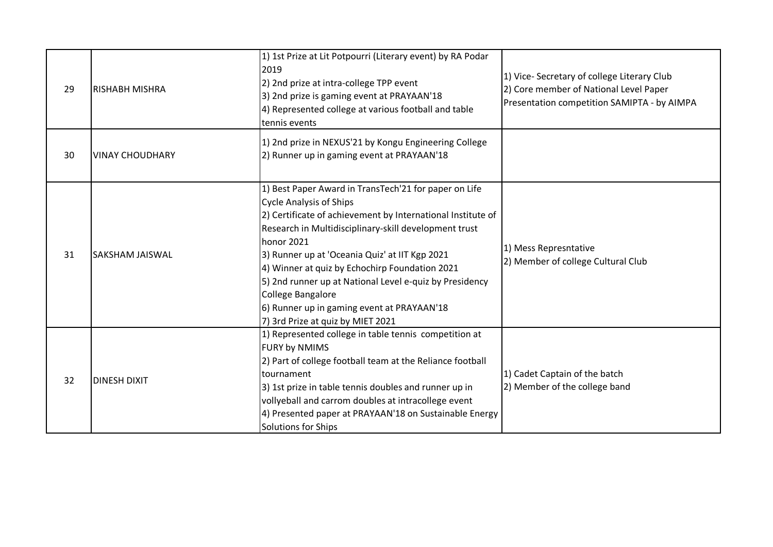| 29 | <b>RISHABH MISHRA</b>  | 1) 1st Prize at Lit Potpourri (Literary event) by RA Podar<br>2019<br>2) 2nd prize at intra-college TPP event<br>3) 2nd prize is gaming event at PRAYAAN'18<br>4) Represented college at various football and table<br>tennis events                                                                                                                                                                                                                                                                                                                                | 1) Vice-Secretary of college Literary Club<br>2) Core member of National Level Paper<br>Presentation competition SAMIPTA - by AIMPA |
|----|------------------------|---------------------------------------------------------------------------------------------------------------------------------------------------------------------------------------------------------------------------------------------------------------------------------------------------------------------------------------------------------------------------------------------------------------------------------------------------------------------------------------------------------------------------------------------------------------------|-------------------------------------------------------------------------------------------------------------------------------------|
| 30 | <b>VINAY CHOUDHARY</b> | 1) 2nd prize in NEXUS'21 by Kongu Engineering College<br>2) Runner up in gaming event at PRAYAAN'18                                                                                                                                                                                                                                                                                                                                                                                                                                                                 |                                                                                                                                     |
| 31 | <b>SAKSHAM JAISWAL</b> | 1) Best Paper Award in TransTech'21 for paper on Life<br><b>Cycle Analysis of Ships</b><br>2) Certificate of achievement by International Institute of<br>Research in Multidisciplinary-skill development trust<br>honor 2021<br>1) Mess Represntative<br>3) Runner up at 'Oceania Quiz' at IIT Kgp 2021<br>2) Member of college Cultural Club<br>4) Winner at quiz by Echochirp Foundation 2021<br>5) 2nd runner up at National Level e-quiz by Presidency<br>College Bangalore<br>6) Runner up in gaming event at PRAYAAN'18<br>7) 3rd Prize at quiz by MIET 2021 |                                                                                                                                     |
| 32 | <b>DINESH DIXIT</b>    | 1) Represented college in table tennis competition at<br><b>FURY by NMIMS</b><br>2) Part of college football team at the Reliance football<br>tournament<br>3) 1st prize in table tennis doubles and runner up in<br>vollyeball and carrom doubles at intracollege event<br>4) Presented paper at PRAYAAN'18 on Sustainable Energy<br>Solutions for Ships                                                                                                                                                                                                           | 1) Cadet Captain of the batch<br>2) Member of the college band                                                                      |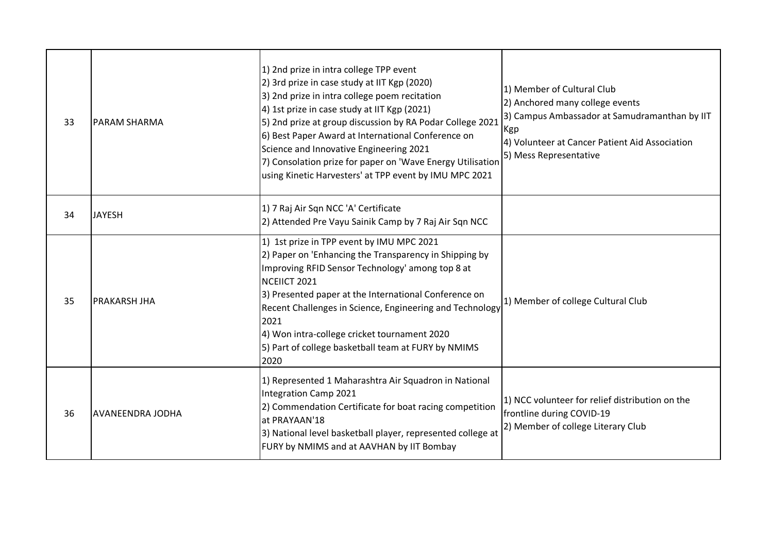| 33 | <b>PARAM SHARMA</b>     | 1) 2nd prize in intra college TPP event<br>2) 3rd prize in case study at IIT Kgp (2020)<br>3) 2nd prize in intra college poem recitation<br>4) 1st prize in case study at IIT Kgp (2021)<br>5) 2nd prize at group discussion by RA Podar College 2021<br>6) Best Paper Award at International Conference on<br>Science and Innovative Engineering 2021<br>7) Consolation prize for paper on 'Wave Energy Utilisation<br>using Kinetic Harvesters' at TPP event by IMU MPC 2021 | 1) Member of Cultural Club<br>2) Anchored many college events<br>3) Campus Ambassador at Samudramanthan by IIT<br>Kgp<br>4) Volunteer at Cancer Patient Aid Association<br>5) Mess Representative |
|----|-------------------------|--------------------------------------------------------------------------------------------------------------------------------------------------------------------------------------------------------------------------------------------------------------------------------------------------------------------------------------------------------------------------------------------------------------------------------------------------------------------------------|---------------------------------------------------------------------------------------------------------------------------------------------------------------------------------------------------|
| 34 | <b>JAYESH</b>           | 1) 7 Raj Air Sqn NCC 'A' Certificate<br>2) Attended Pre Vayu Sainik Camp by 7 Raj Air Sqn NCC                                                                                                                                                                                                                                                                                                                                                                                  |                                                                                                                                                                                                   |
| 35 | <b>PRAKARSH JHA</b>     | 1) 1st prize in TPP event by IMU MPC 2021<br>2) Paper on 'Enhancing the Transparency in Shipping by<br>Improving RFID Sensor Technology' among top 8 at<br>NCEIICT 2021<br>3) Presented paper at the International Conference on<br>Recent Challenges in Science, Engineering and Technology<br>2021<br>4) Won intra-college cricket tournament 2020<br>5) Part of college basketball team at FURY by NMIMS<br>2020                                                            | 1) Member of college Cultural Club                                                                                                                                                                |
| 36 | <b>AVANEENDRA JODHA</b> | 1) Represented 1 Maharashtra Air Squadron in National<br>Integration Camp 2021<br>2) Commendation Certificate for boat racing competition<br>at PRAYAAN'18<br>3) National level basketball player, represented college at<br>FURY by NMIMS and at AAVHAN by IIT Bombay                                                                                                                                                                                                         | 1) NCC volunteer for relief distribution on the<br>frontline during COVID-19<br>2) Member of college Literary Club                                                                                |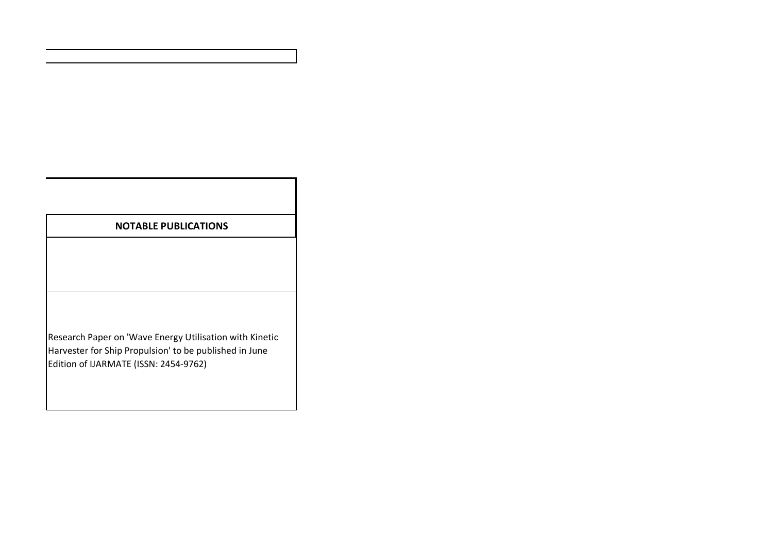| <b>NOTABLE PUBLICATIONS</b>                                                                                                                                |
|------------------------------------------------------------------------------------------------------------------------------------------------------------|
|                                                                                                                                                            |
|                                                                                                                                                            |
|                                                                                                                                                            |
| Research Paper on 'Wave Energy Utilisation with Kinetic<br>Harvester for Ship Propulsion' to be published in June<br>Edition of IJARMATE (ISSN: 2454-9762) |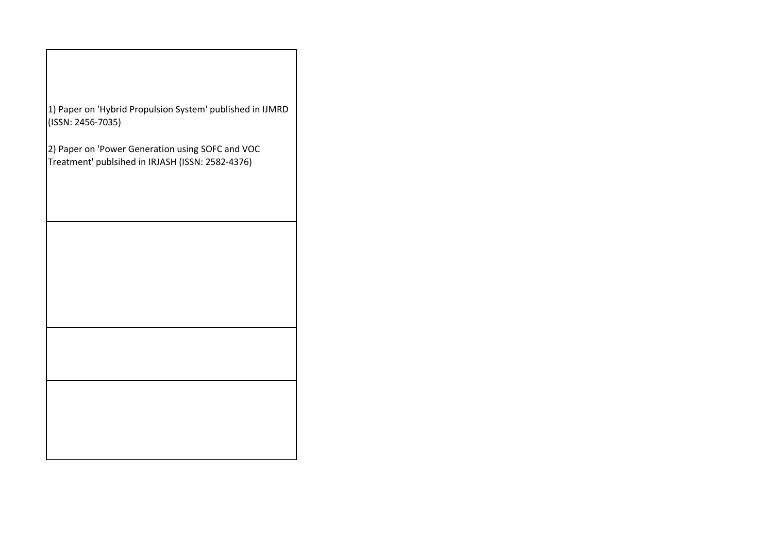| 1) Paper on 'Hybrid Propulsion System' published in IJMRD<br>(ISSN: 2456-7035)                       |
|------------------------------------------------------------------------------------------------------|
| 2) Paper on 'Power Generation using SOFC and VOC<br>Treatment' publsihed in IRJASH (ISSN: 2582-4376) |
|                                                                                                      |
|                                                                                                      |
|                                                                                                      |
|                                                                                                      |
|                                                                                                      |
|                                                                                                      |
|                                                                                                      |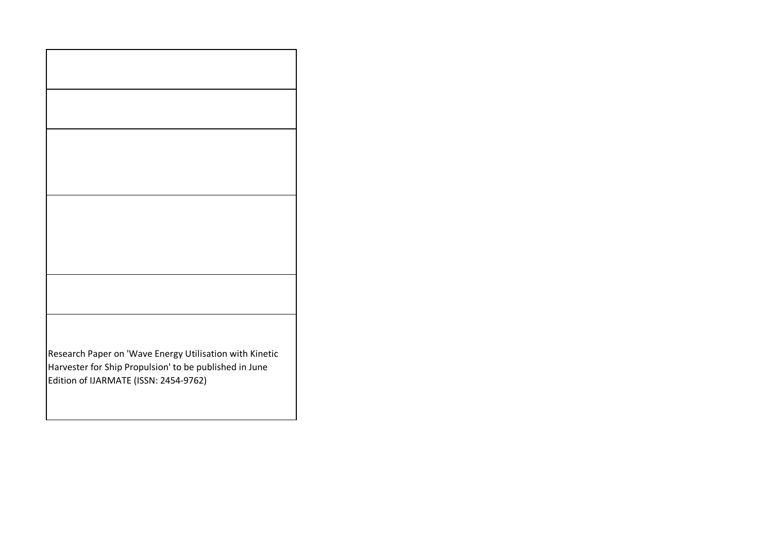| Research Paper on 'Wave Energy Utilisation with Kinetic<br>Harvester for Ship Propulsion' to be published in June<br>Edition of IJARMATE (ISSN: 2454-9762) |  |
|------------------------------------------------------------------------------------------------------------------------------------------------------------|--|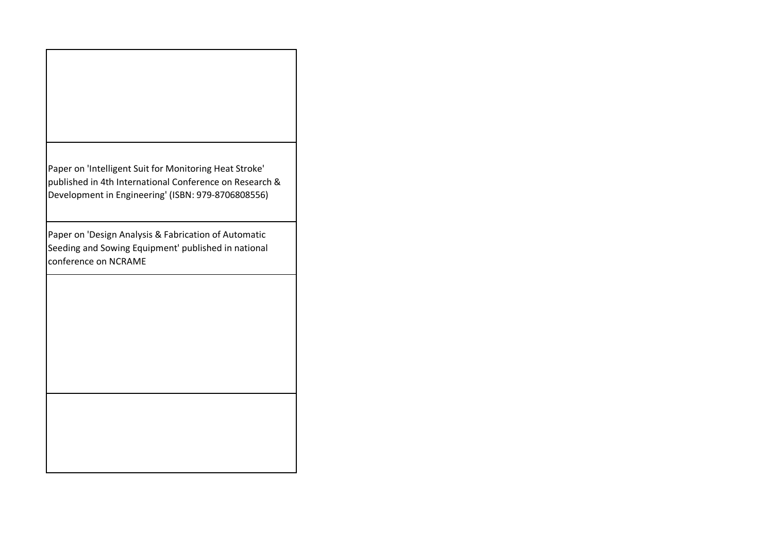| Paper on 'Intelligent Suit for Monitoring Heat Stroke'  |
|---------------------------------------------------------|
| published in 4th International Conference on Research & |
| Development in Engineering' (ISBN: 979-8706808556)      |
|                                                         |

Paper on 'Design Analysis & Fabrication of Automatic Seeding and Sowing Equipment' published in national conference on NCRAME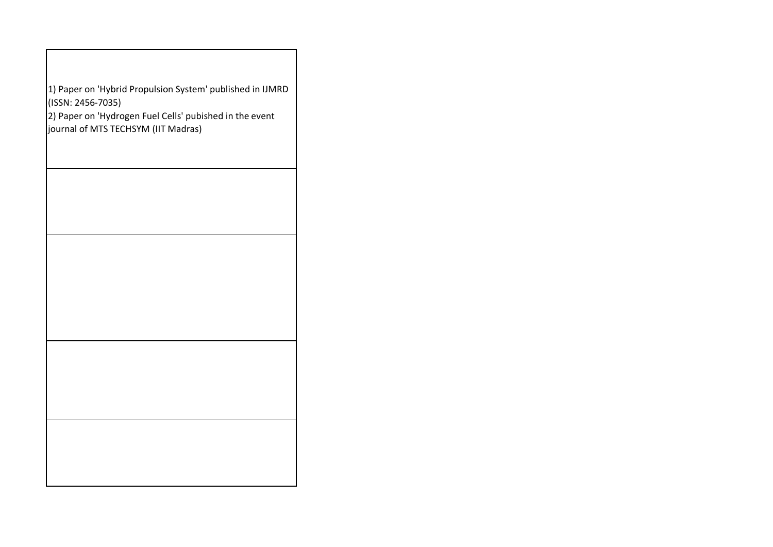| 1) Paper on 'Hybrid Propulsion System' published in IJMRD<br>(ISSN: 2456-7035)<br>$ 2)$ Paper on 'Hydrogen Fuel Cells' pubished in the event<br>journal of MTS TECHSYM (IIT Madras) |  |
|-------------------------------------------------------------------------------------------------------------------------------------------------------------------------------------|--|
|                                                                                                                                                                                     |  |
|                                                                                                                                                                                     |  |
|                                                                                                                                                                                     |  |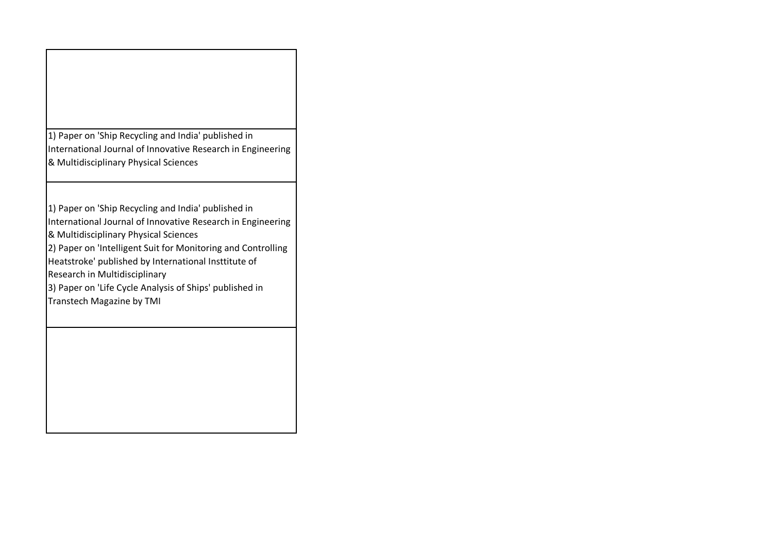| 1) Paper on 'Ship Recycling and India' published in<br>International Journal of Innovative Research in Engineering<br>& Multidisciplinary Physical Sciences                                                                                                                                                                                                                                                  |
|--------------------------------------------------------------------------------------------------------------------------------------------------------------------------------------------------------------------------------------------------------------------------------------------------------------------------------------------------------------------------------------------------------------|
| 1) Paper on 'Ship Recycling and India' published in<br>International Journal of Innovative Research in Engineering<br>& Multidisciplinary Physical Sciences<br>2) Paper on 'Intelligent Suit for Monitoring and Controlling<br>Heatstroke' published by International Insttitute of<br>Research in Multidisciplinary<br>3) Paper on 'Life Cycle Analysis of Ships' published in<br>Transtech Magazine by TMI |
|                                                                                                                                                                                                                                                                                                                                                                                                              |